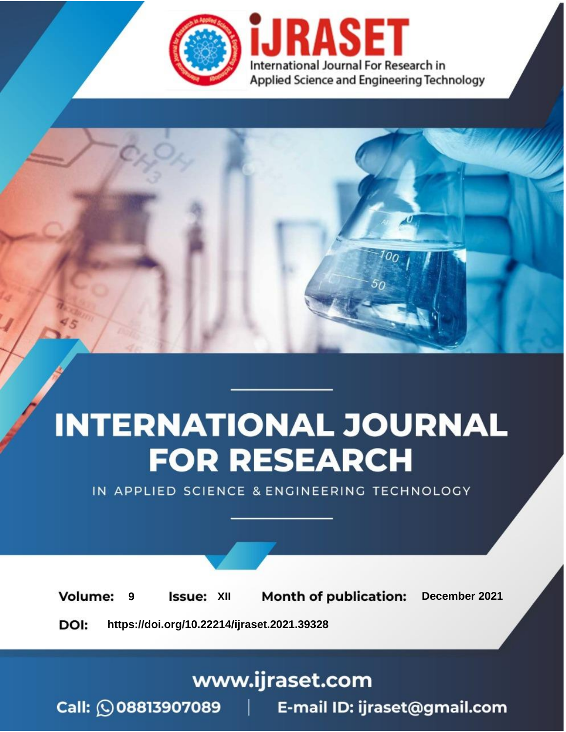

# **INTERNATIONAL JOURNAL FOR RESEARCH**

IN APPLIED SCIENCE & ENGINEERING TECHNOLOGY

**Month of publication: Volume: Issue: XII** December 2021 9 DOI: https://doi.org/10.22214/ijraset.2021.39328

www.ijraset.com

Call: 008813907089 | E-mail ID: ijraset@gmail.com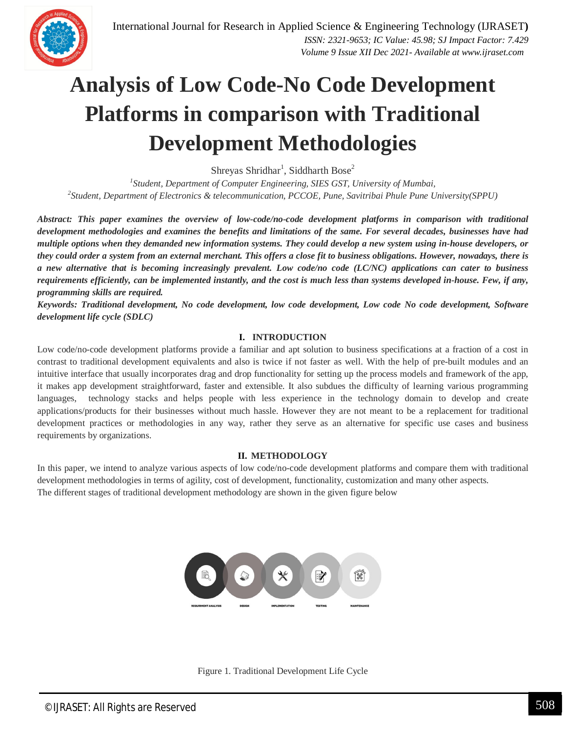

Shreyas Shridhar<sup>1</sup>, Siddharth Bose<sup>2</sup>

<sup>1</sup> Student, Department of Computer Engineering, SIES GST, University of Mumbai, *2 Student, Department of Electronics & telecommunication, PCCOE, Pune, Savitribai Phule Pune University(SPPU)*

*Abstract: This paper examines the overview of low-code/no-code development platforms in comparison with traditional development methodologies and examines the benefits and limitations of the same. For several decades, businesses have had multiple options when they demanded new information systems. They could develop a new system using in-house developers, or they could order a system from an external merchant. This offers a close fit to business obligations. However, nowadays, there is a new alternative that is becoming increasingly prevalent. Low code/no code (LC/NC) applications can cater to business requirements efficiently, can be implemented instantly, and the cost is much less than systems developed in-house. Few, if any, programming skills are required.*

*Keywords: Traditional development, No code development, low code development, Low code No code development, Software development life cycle (SDLC)*

#### **I. INTRODUCTION**

Low code/no-code development platforms provide a familiar and apt solution to business specifications at a fraction of a cost in contrast to traditional development equivalents and also is twice if not faster as well. With the help of pre-built modules and an intuitive interface that usually incorporates drag and drop functionality for setting up the process models and framework of the app, it makes app development straightforward, faster and extensible. It also subdues the difficulty of learning various programming languages, technology stacks and helps people with less experience in the technology domain to develop and create applications/products for their businesses without much hassle. However they are not meant to be a replacement for traditional development practices or methodologies in any way, rather they serve as an alternative for specific use cases and business requirements by organizations.

#### **II. METHODOLOGY**

In this paper, we intend to analyze various aspects of low code/no-code development platforms and compare them with traditional development methodologies in terms of agility, cost of development, functionality, customization and many other aspects. The different stages of traditional development methodology are shown in the given figure below



Figure 1. Traditional Development Life Cycle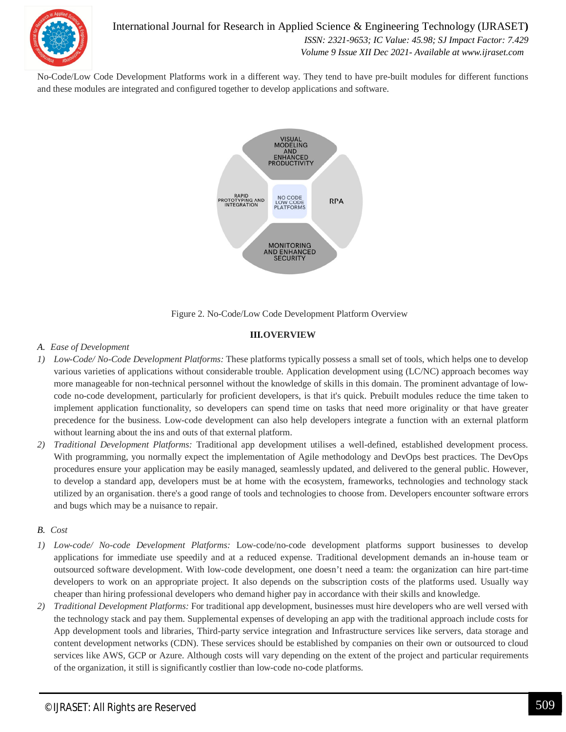

No-Code/Low Code Development Platforms work in a different way. They tend to have pre-built modules for different functions and these modules are integrated and configured together to develop applications and software.



Figure 2. No-Code/Low Code Development Platform Overview

#### **III.OVERVIEW**

#### *A. Ease of Development*

- *1) Low-Code/ No-Code Development Platforms:* These platforms typically possess a small set of tools, which helps one to develop various varieties of applications without considerable trouble. Application development using (LC/NC) approach becomes way more manageable for non-technical personnel without the knowledge of skills in this domain. The prominent advantage of lowcode no-code development, particularly for proficient developers, is that it's quick. Prebuilt modules reduce the time taken to implement application functionality, so developers can spend time on tasks that need more originality or that have greater precedence for the business. Low-code development can also help developers integrate a function with an external platform without learning about the ins and outs of that external platform.
- *2) Traditional Development Platforms:* Traditional app development utilises a well-defined, established development process. With programming, you normally expect the implementation of Agile methodology and DevOps best practices. The DevOps procedures ensure your application may be easily managed, seamlessly updated, and delivered to the general public. However, to develop a standard app, developers must be at home with the ecosystem, frameworks, technologies and technology stack utilized by an organisation. there's a good range of tools and technologies to choose from. Developers encounter software errors and bugs which may be a nuisance to repair.

### *B. Cost*

- *1) Low-code/ No-code Development Platforms:* Low-code/no-code development platforms support businesses to develop applications for immediate use speedily and at a reduced expense. Traditional development demands an in-house team or outsourced software development. With low-code development, one doesn't need a team: the organization can hire part-time developers to work on an appropriate project. It also depends on the subscription costs of the platforms used. Usually way cheaper than hiring professional developers who demand higher pay in accordance with their skills and knowledge.
- *2) Traditional Development Platforms:* For traditional app development, businesses must hire developers who are well versed with the technology stack and pay them. Supplemental expenses of developing an app with the traditional approach include costs for App development tools and libraries, Third-party service integration and Infrastructure services like servers, data storage and content development networks (CDN). These services should be established by companies on their own or outsourced to cloud services like AWS, GCP or Azure. Although costs will vary depending on the extent of the project and particular requirements of the organization, it still is significantly costlier than low-code no-code platforms.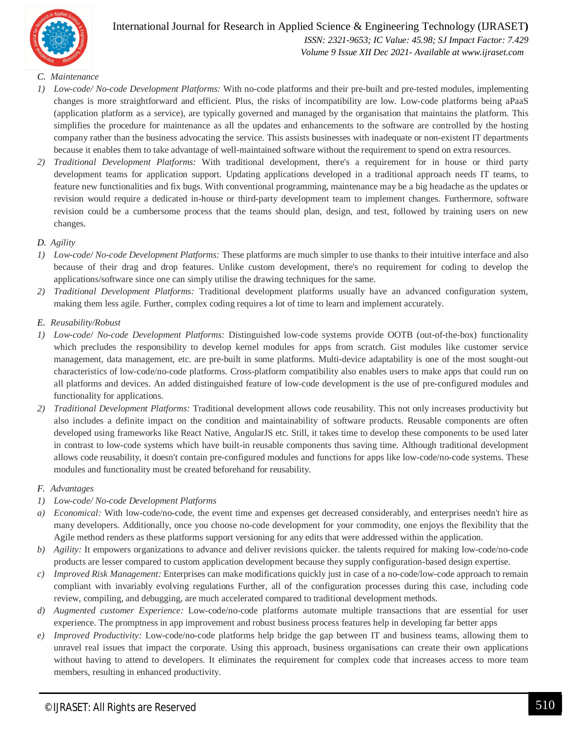

International Journal for Research in Applied Science & Engineering Technology (IJRASET**)**  *ISSN: 2321-9653; IC Value: 45.98; SJ Impact Factor: 7.429 Volume 9 Issue XII Dec 2021- Available at www.ijraset.com*

#### *C. Maintenance*

- *1) Low-code/ No-code Development Platforms:* With no-code platforms and their pre-built and pre-tested modules, implementing changes is more straightforward and efficient. Plus, the risks of incompatibility are low. Low-code platforms being aPaaS (application platform as a service), are typically governed and managed by the organisation that maintains the platform. This simplifies the procedure for maintenance as all the updates and enhancements to the software are controlled by the hosting company rather than the business advocating the service. This assists businesses with inadequate or non-existent IT departments because it enables them to take advantage of well-maintained software without the requirement to spend on extra resources.
- *2) Traditional Development Platforms:* With traditional development, there's a requirement for in house or third party development teams for application support. Updating applications developed in a traditional approach needs IT teams, to feature new functionalities and fix bugs. With conventional programming, maintenance may be a big headache as the updates or revision would require a dedicated in-house or third-party development team to implement changes. Furthermore, software revision could be a cumbersome process that the teams should plan, design, and test, followed by training users on new changes.

#### *D. Agility*

- *1) Low-code/ No-code Development Platforms:* These platforms are much simpler to use thanks to their intuitive interface and also because of their drag and drop features. Unlike custom development, there's no requirement for coding to develop the applications/software since one can simply utilise the drawing techniques for the same.
- *2) Traditional Development Platforms:* Traditional development platforms usually have an advanced configuration system, making them less agile. Further, complex coding requires a lot of time to learn and implement accurately.
- *E. Reusability/Robust*
- *1) Low-code/ No-code Development Platforms:* Distinguished low-code systems provide OOTB (out-of-the-box) functionality which precludes the responsibility to develop kernel modules for apps from scratch. Gist modules like customer service management, data management, etc. are pre-built in some platforms. Multi-device adaptability is one of the most sought-out characteristics of low-code/no-code platforms. Cross-platform compatibility also enables users to make apps that could run on all platforms and devices. An added distinguished feature of low-code development is the use of pre-configured modules and functionality for applications.
- *2) Traditional Development Platforms:* Traditional development allows code reusability. This not only increases productivity but also includes a definite impact on the condition and maintainability of software products. Reusable components are often developed using frameworks like React Native, AngularJS etc. Still, it takes time to develop these components to be used later in contrast to low-code systems which have built-in reusable components thus saving time. Although traditional development allows code reusability, it doesn't contain pre-configured modules and functions for apps like low-code/no-code systems. These modules and functionality must be created beforehand for reusability.

#### *F. Advantages*

- *1) Low-code/ No-code Development Platforms*
- *a) Economical:* With low-code/no-code, the event time and expenses get decreased considerably, and enterprises needn't hire as many developers. Additionally, once you choose no-code development for your commodity, one enjoys the flexibility that the Agile method renders as these platforms support versioning for any edits that were addressed within the application.
- *b) Agility:* It empowers organizations to advance and deliver revisions quicker. the talents required for making low-code/no-code products are lesser compared to custom application development because they supply configuration-based design expertise.
- *c) Improved Risk Management:* Enterprises can make modifications quickly just in case of a no-code/low-code approach to remain compliant with invariably evolving regulations Further, all of the configuration processes during this case, including code review, compiling, and debugging, are much accelerated compared to traditional development methods.
- *d) Augmented customer Experience:* Low-code/no-code platforms automate multiple transactions that are essential for user experience. The promptness in app improvement and robust business process features help in developing far better apps
- *e) Improved Productivity:* Low-code/no-code platforms help bridge the gap between IT and business teams, allowing them to unravel real issues that impact the corporate. Using this approach, business organisations can create their own applications without having to attend to developers. It eliminates the requirement for complex code that increases access to more team members, resulting in enhanced productivity.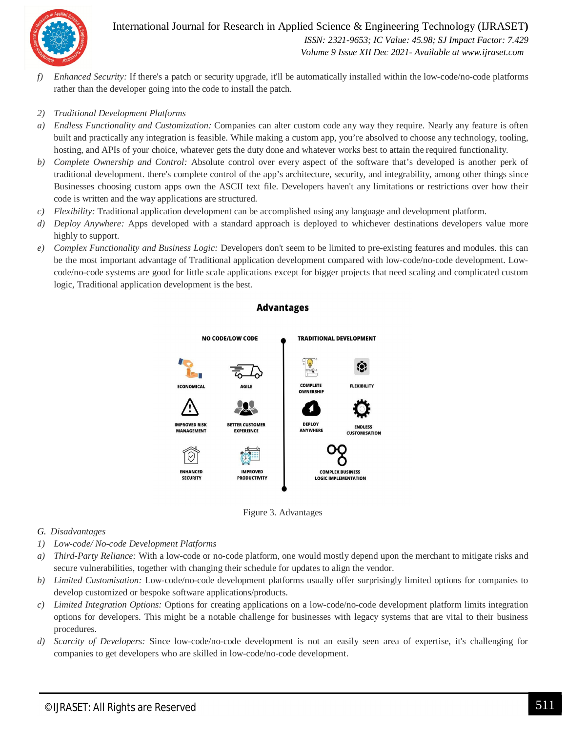

# International Journal for Research in Applied Science & Engineering Technology (IJRASET**)**  *ISSN: 2321-9653; IC Value: 45.98; SJ Impact Factor: 7.429 Volume 9 Issue XII Dec 2021- Available at www.ijraset.com*

*f) Enhanced Security:* If there's a patch or security upgrade, it'll be automatically installed within the low-code/no-code platforms rather than the developer going into the code to install the patch.

#### *2) Traditional Development Platforms*

- *a) Endless Functionality and Customization:* Companies can alter custom code any way they require. Nearly any feature is often built and practically any integration is feasible. While making a custom app, you're absolved to choose any technology, tooling, hosting, and APIs of your choice, whatever gets the duty done and whatever works best to attain the required functionality.
- *b) Complete Ownership and Control:* Absolute control over every aspect of the software that's developed is another perk of traditional development. there's complete control of the app's architecture, security, and integrability, among other things since Businesses choosing custom apps own the ASCII text file. Developers haven't any limitations or restrictions over how their code is written and the way applications are structured.
- *c) Flexibility:* Traditional application development can be accomplished using any language and development platform.
- *d) Deploy Anywhere:* Apps developed with a standard approach is deployed to whichever destinations developers value more highly to support.
- *e) Complex Functionality and Business Logic:* Developers don't seem to be limited to pre-existing features and modules. this can be the most important advantage of Traditional application development compared with low-code/no-code development. Lowcode/no-code systems are good for little scale applications except for bigger projects that need scaling and complicated custom logic, Traditional application development is the best.

#### **Advantages**



Figure 3. Advantages

#### *G. Disadvantages*

- *1) Low-code/ No-code Development Platforms*
- *a) Third-Party Reliance:* With a low-code or no-code platform, one would mostly depend upon the merchant to mitigate risks and secure vulnerabilities, together with changing their schedule for updates to align the vendor.
- *b) Limited Customisation:* Low-code/no-code development platforms usually offer surprisingly limited options for companies to develop customized or bespoke software applications/products.
- *c) Limited Integration Options:* Options for creating applications on a low-code/no-code development platform limits integration options for developers. This might be a notable challenge for businesses with legacy systems that are vital to their business procedures.
- *d) Scarcity of Developers:* Since low-code/no-code development is not an easily seen area of expertise, it's challenging for companies to get developers who are skilled in low-code/no-code development.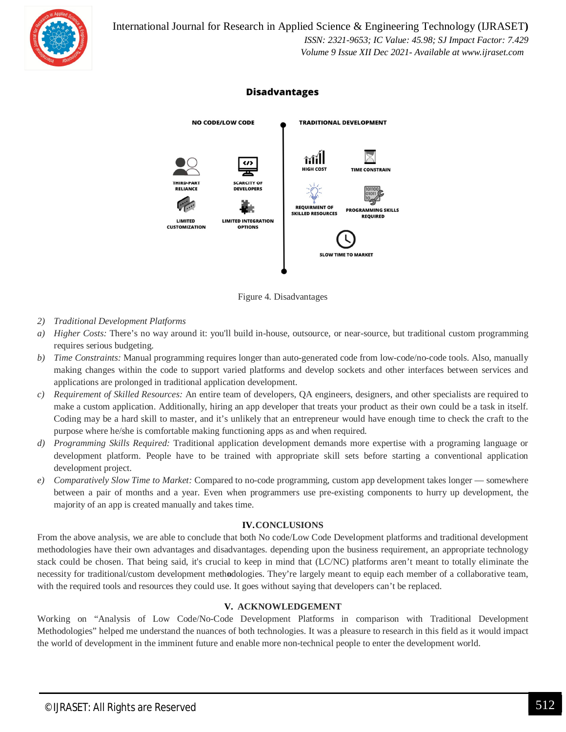

## **Disadvantages**



Figure 4. Disadvantages

- *2) Traditional Development Platforms*
- *a) Higher Costs:* There's no way around it: you'll build in-house, outsource, or near-source, but traditional custom programming requires serious budgeting.
- *b) Time Constraints:* Manual programming requires longer than auto-generated code from low-code/no-code tools. Also, manually making changes within the code to support varied platforms and develop sockets and other interfaces between services and applications are prolonged in traditional application development.
- *c) Requirement of Skilled Resources:* An entire team of developers, QA engineers, designers, and other specialists are required to make a custom application. Additionally, hiring an app developer that treats your product as their own could be a task in itself. Coding may be a hard skill to master, and it's unlikely that an entrepreneur would have enough time to check the craft to the purpose where he/she is comfortable making functioning apps as and when required.
- *d) Programming Skills Required:* Traditional application development demands more expertise with a programing language or development platform. People have to be trained with appropriate skill sets before starting a conventional application development project.
- *e) Comparatively Slow Time to Market:* Compared to no-code programming, custom app development takes longer somewhere between a pair of months and a year. Even when programmers use pre-existing components to hurry up development, the majority of an app is created manually and takes time.

#### **IV.CONCLUSIONS**

From the above analysis, we are able to conclude that both No code/Low Code Development platforms and traditional development methodologies have their own advantages and disadvantages. depending upon the business requirement, an appropriate technology stack could be chosen. That being said, it's crucial to keep in mind that (LC/NC) platforms aren't meant to totally eliminate the necessity for traditional/custom development meth**o**dologies. They're largely meant to equip each member of a collaborative team, with the required tools and resources they could use. It goes without saying that developers can't be replaced.

#### **V. ACKNOWLEDGEMENT**

Working on "Analysis of Low Code/No-Code Development Platforms in comparison with Traditional Development Methodologies" helped me understand the nuances of both technologies. It was a pleasure to research in this field as it would impact the world of development in the imminent future and enable more non-technical people to enter the development world.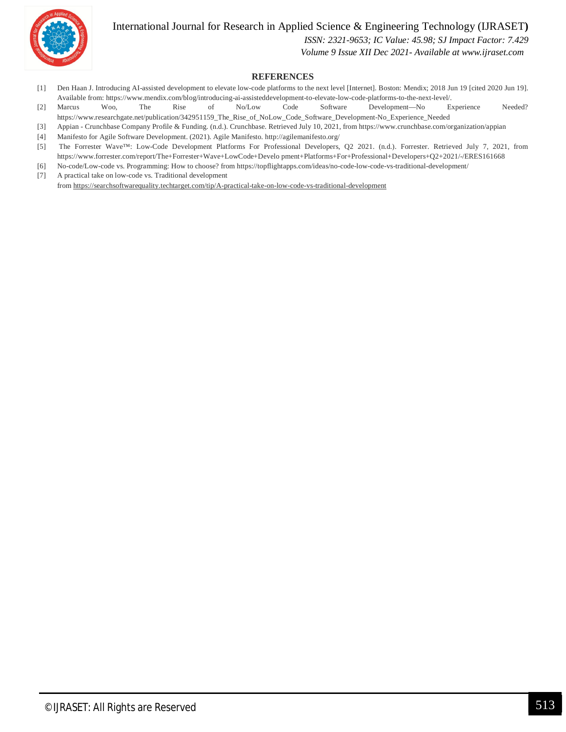

# International Journal for Research in Applied Science & Engineering Technology (IJRASET**)**

 *ISSN: 2321-9653; IC Value: 45.98; SJ Impact Factor: 7.429*

 *Volume 9 Issue XII Dec 2021- Available at www.ijraset.com*

#### **REFERENCES**

- [1] Den Haan J. Introducing AI-assisted development to elevate low-code platforms to the next level [Internet]. Boston: Mendix; 2018 Jun 19 [cited 2020 Jun 19]. Available from: https://www.mendix.com/blog/introducing-ai-assisteddevelopment-to-elevate-low-code-platforms-to-the-next-level/.
- [2] Marcus Woo, The Rise of No/Low Code Software Development—No Experience Needed? https://www.researchgate.net/publication/342951159\_The\_Rise\_of\_NoLow\_Code\_Software\_Development-No\_Experience\_Needed
- [3] Appian Crunchbase Company Profile & Funding. (n.d.). Crunchbase. Retrieved July 10, 2021, from https://www.crunchbase.com/organization/appian
- [4] Manifesto for Agile Software Development. (2021). Agile Manifesto. http://agilemanifesto.org/
- [5] The Forrester Wave™: Low-Code Development Platforms For Professional Developers, Q2 2021. (n.d.). Forrester. Retrieved July 7, 2021, from https://www.forrester.com/report/The+Forrester+Wave+LowCode+Develo pment+Platforms+For+Professional+Developers+Q2+2021/-/ERES161668
- [6] No-code/Low-code vs. Programming: How to choose? from https://topflightapps.com/ideas/no-code-low-code-vs-traditional-development/
- [7] A practical take on low-code vs. Traditional development from https://searchsoftwarequality.techtarget.com/tip/A-practical-take-on-low-code-vs-traditional-development